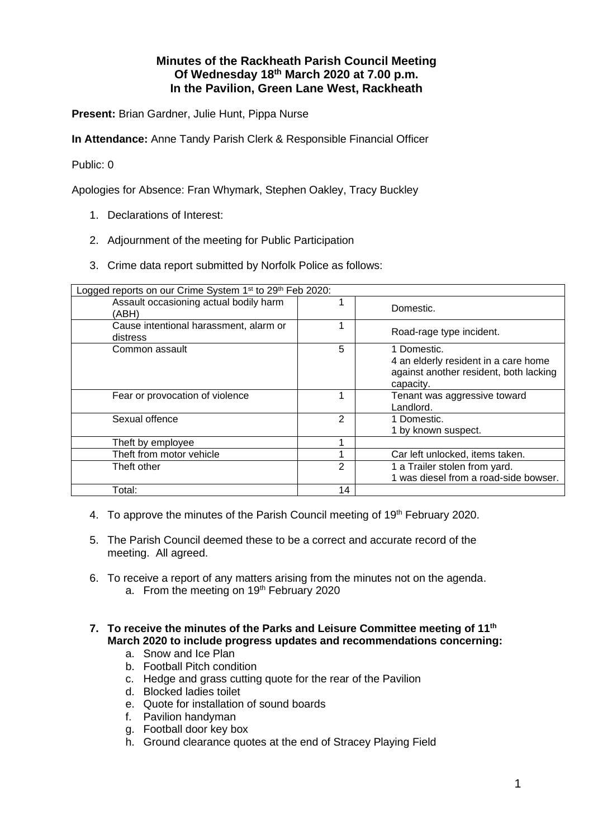# **Minutes of the Rackheath Parish Council Meeting Of Wednesday 18th March 2020 at 7.00 p.m. In the Pavilion, Green Lane West, Rackheath**

**Present:** Brian Gardner, Julie Hunt, Pippa Nurse

**In Attendance:** Anne Tandy Parish Clerk & Responsible Financial Officer

### Public: 0

Apologies for Absence: Fran Whymark, Stephen Oakley, Tracy Buckley

- 1. Declarations of Interest:
- 2. Adjournment of the meeting for Public Participation
- 3. Crime data report submitted by Norfolk Police as follows:

| Logged reports on our Crime System 1 <sup>st</sup> to 29 <sup>th</sup> Feb 2020: |    |                                                                                                            |
|----------------------------------------------------------------------------------|----|------------------------------------------------------------------------------------------------------------|
| Assault occasioning actual bodily harm<br>'ABH)                                  |    | Domestic.                                                                                                  |
| Cause intentional harassment, alarm or<br>distress                               |    | Road-rage type incident.                                                                                   |
| Common assault                                                                   | 5  | 1 Domestic.<br>4 an elderly resident in a care home<br>against another resident, both lacking<br>capacity. |
| Fear or provocation of violence                                                  |    | Tenant was aggressive toward<br>Landlord.                                                                  |
| Sexual offence                                                                   | 2  | 1 Domestic.<br>1 by known suspect.                                                                         |
| Theft by employee                                                                |    |                                                                                                            |
| Theft from motor vehicle                                                         |    | Car left unlocked, items taken.                                                                            |
| Theft other                                                                      | 2  | 1 a Trailer stolen from yard.<br>1 was diesel from a road-side bowser.                                     |
| Total:                                                                           | 14 |                                                                                                            |

- 4. To approve the minutes of the Parish Council meeting of 19<sup>th</sup> February 2020.
- 5. The Parish Council deemed these to be a correct and accurate record of the meeting. All agreed.
- 6. To receive a report of any matters arising from the minutes not on the agenda. a. From the meeting on 19<sup>th</sup> February 2020
- **7. To receive the minutes of the Parks and Leisure Committee meeting of 11th March 2020 to include progress updates and recommendations concerning:**
	- a. Snow and Ice Plan
	- b. Football Pitch condition
	- c. Hedge and grass cutting quote for the rear of the Pavilion
	- d. Blocked ladies toilet
	- e. Quote for installation of sound boards
	- f. Pavilion handyman
	- g. Football door key box
	- h. Ground clearance quotes at the end of Stracey Playing Field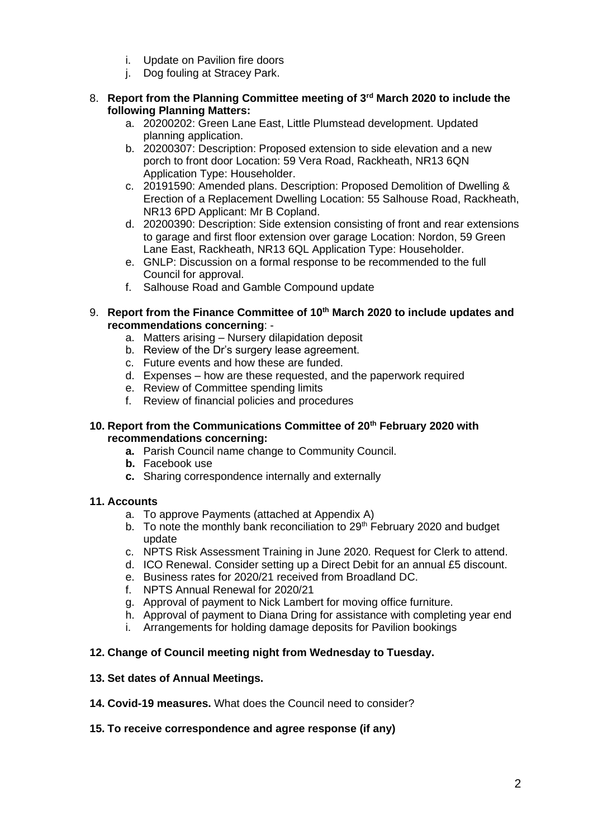- i. Update on Pavilion fire doors
- j. Dog fouling at Stracey Park.
- 8. **Report from the Planning Committee meeting of 3rd March 2020 to include the following Planning Matters:**
	- a. 20200202: Green Lane East, Little Plumstead development. Updated planning application.
	- b. 20200307: Description: Proposed extension to side elevation and a new porch to front door Location: 59 Vera Road, Rackheath, NR13 6QN Application Type: Householder.
	- c. 20191590: Amended plans. Description: Proposed Demolition of Dwelling & Erection of a Replacement Dwelling Location: 55 Salhouse Road, Rackheath, NR13 6PD Applicant: Mr B Copland.
	- d. 20200390: Description: Side extension consisting of front and rear extensions to garage and first floor extension over garage Location: Nordon, 59 Green Lane East, Rackheath, NR13 6QL Application Type: Householder.
	- e. GNLP: Discussion on a formal response to be recommended to the full Council for approval.
	- f. Salhouse Road and Gamble Compound update
- 9. **Report from the Finance Committee of 10th March 2020 to include updates and recommendations concerning**:
	- a. Matters arising Nursery dilapidation deposit
	- b. Review of the Dr's surgery lease agreement.
	- c. Future events and how these are funded.
	- d. Expenses how are these requested, and the paperwork required
	- e. Review of Committee spending limits
	- f. Review of financial policies and procedures

### **10. Report from the Communications Committee of 20th February 2020 with recommendations concerning:**

- **a.** Parish Council name change to Community Council.
- **b.** Facebook use
- **c.** Sharing correspondence internally and externally

### **11. Accounts**

- a. To approve Payments (attached at Appendix A)
- b. To note the monthly bank reconciliation to  $29<sup>th</sup>$  February 2020 and budget update
- c. NPTS Risk Assessment Training in June 2020. Request for Clerk to attend.
- d. ICO Renewal. Consider setting up a Direct Debit for an annual £5 discount.
- e. Business rates for 2020/21 received from Broadland DC.
- f. NPTS Annual Renewal for 2020/21
- g. Approval of payment to Nick Lambert for moving office furniture.
- h. Approval of payment to Diana Dring for assistance with completing year end
- i. Arrangements for holding damage deposits for Pavilion bookings

# **12. Change of Council meeting night from Wednesday to Tuesday.**

### **13. Set dates of Annual Meetings.**

- **14. Covid-19 measures.** What does the Council need to consider?
- **15. To receive correspondence and agree response (if any)**